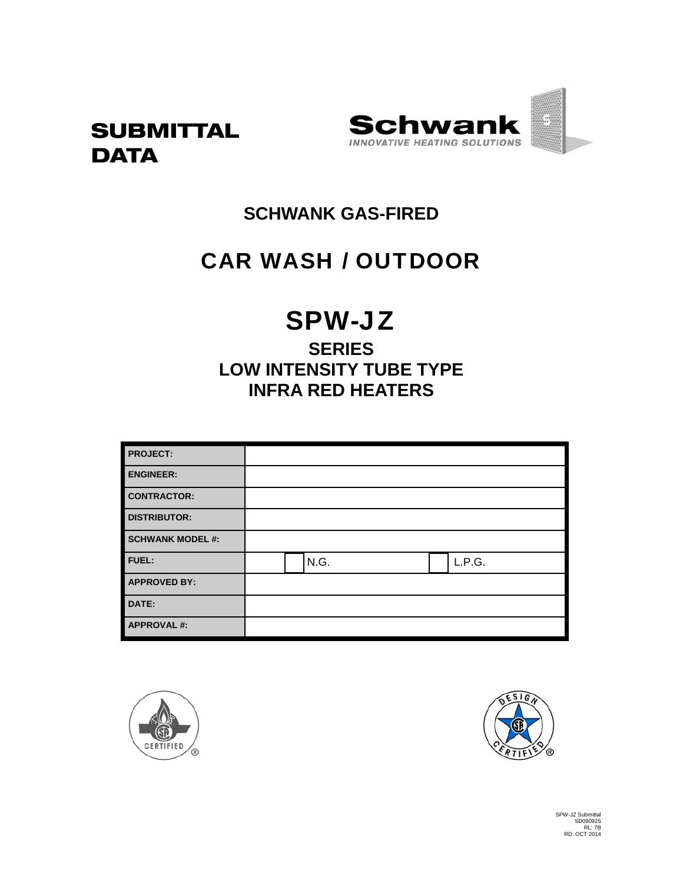



# **SCHWANK GAS-FIRED**

# CAR WASH / OUTDOOR

# SPW-JZ

# **SERIES LOW INTENSITY TUBE TYPE INFRA RED HEATERS**

| <b>PROJECT:</b>         |      |        |
|-------------------------|------|--------|
| <b>ENGINEER:</b>        |      |        |
| <b>CONTRACTOR:</b>      |      |        |
| <b>DISTRIBUTOR:</b>     |      |        |
| <b>SCHWANK MODEL #:</b> |      |        |
| <b>FUEL:</b>            | N.G. | L.P.G. |
| <b>APPROVED BY:</b>     |      |        |
| DATE:                   |      |        |
| <b>APPROVAL#:</b>       |      |        |



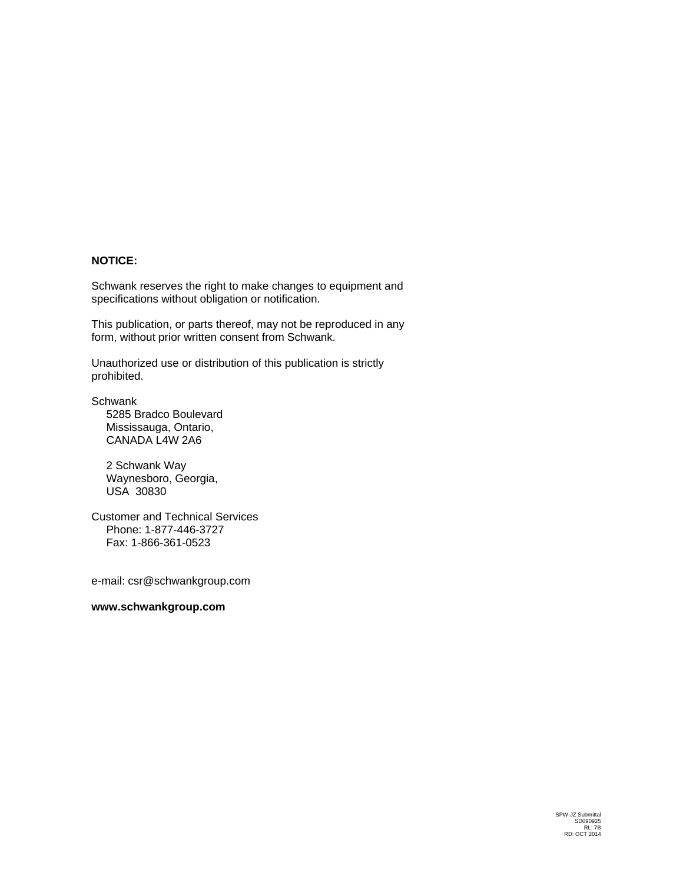#### **NOTICE:**

Schwank reserves the right to make changes to equipment and specifications without obligation or notification.

This publication, or parts thereof, may not be reproduced in any form, without prior written consent from Schwank.

Unauthorized use or distribution of this publication is strictly prohibited.

**Schwank** 

5285 Bradco Boulevard Mississauga, Ontario, CANADA L4W 2A6

2 Schwank Way Waynesboro, Georgia, USA 30830

Customer and Technical Services Phone: 1-877-446-3727 Fax: 1-866-361-0523

e-mail: csr@schwankgroup.com

#### **www.schwankgroup.com**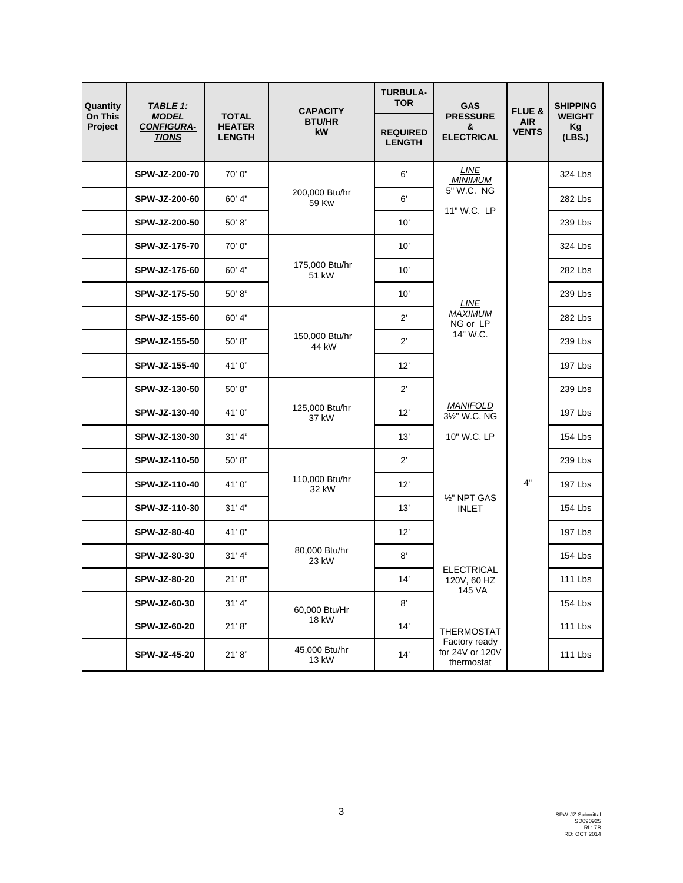| Quantity                  | TABLE 1:                                          |                                                | <b>CAPACITY</b>         | <b>TURBULA-</b><br><b>TOR</b>    | <b>GAS</b>                                     | FLUE &                     | <b>SHIPPING</b>               |
|---------------------------|---------------------------------------------------|------------------------------------------------|-------------------------|----------------------------------|------------------------------------------------|----------------------------|-------------------------------|
| <b>On This</b><br>Project | <b>MODEL</b><br><b>CONFIGURA-</b><br><b>TIONS</b> | <b>TOTAL</b><br><b>HEATER</b><br><b>LENGTH</b> | <b>BTU/HR</b><br>kW     | <b>REQUIRED</b><br><b>LENGTH</b> | <b>PRESSURE</b><br>&<br><b>ELECTRICAL</b>      | <b>AIR</b><br><b>VENTS</b> | <b>WEIGHT</b><br>Kg<br>(LES.) |
|                           | SPW-JZ-200-70                                     | 70'0"                                          |                         | 6'                               | LINE<br><b>MINIMUM</b>                         |                            | 324 Lbs                       |
|                           | SPW-JZ-200-60                                     | 60' 4"                                         | 200,000 Btu/hr<br>59 Kw | 6'                               | 5" W.C. NG<br>11" W.C. LP                      |                            | 282 Lbs                       |
|                           | SPW-JZ-200-50                                     | 50' 8"                                         |                         | 10'                              |                                                |                            | 239 Lbs                       |
|                           | SPW-JZ-175-70                                     | 70'0"                                          |                         | 10'                              |                                                |                            | 324 Lbs                       |
|                           | SPW-JZ-175-60                                     | 60' 4"                                         | 175,000 Btu/hr<br>51 kW | 10'                              |                                                |                            | 282 Lbs                       |
|                           | SPW-JZ-175-50                                     | 50'8"                                          |                         | 10'                              | LINE                                           |                            | 239 Lbs                       |
|                           | SPW-JZ-155-60                                     | 60' 4"                                         |                         | $2^{\prime}$                     | <b>MAXIMUM</b><br>NG or LP                     |                            | 282 Lbs                       |
|                           | SPW-JZ-155-50                                     | 50' 8"                                         | 150,000 Btu/hr<br>44 kW | $2^{\prime}$                     | 14" W.C.                                       |                            | 239 Lbs                       |
|                           | SPW-JZ-155-40                                     | 41' 0"                                         |                         | 12'                              |                                                |                            | 197 Lbs                       |
|                           | SPW-JZ-130-50                                     | 50'8"                                          |                         | $2^{\prime}$                     |                                                |                            | 239 Lbs                       |
|                           | SPW-JZ-130-40                                     | 41'0"                                          | 125,000 Btu/hr<br>37 kW | 12'                              | <b>MANIFOLD</b><br>31/ <sub>2</sub> " W.C. NG  |                            | 197 Lbs                       |
|                           | SPW-JZ-130-30                                     | 31' 4"                                         |                         | 13'                              | 10" W.C. LP                                    |                            | 154 Lbs                       |
|                           | SPW-JZ-110-50                                     | 50'8"                                          |                         | $2^{\prime}$                     |                                                |                            | 239 Lbs                       |
|                           | SPW-JZ-110-40                                     | 41' 0"                                         | 110,000 Btu/hr<br>32 kW | 12'                              |                                                | 4"                         | 197 Lbs                       |
|                           | SPW-JZ-110-30                                     | 31' 4"                                         |                         | 13'                              | 1/2" NPT GAS<br><b>INLET</b>                   |                            | 154 Lbs                       |
|                           | SPW-JZ-80-40                                      | 41'0"                                          |                         | 12'                              |                                                |                            | 197 Lbs                       |
|                           | SPW-JZ-80-30                                      | 31' 4"                                         | 80,000 Btu/hr<br>23 kW  | 8'                               |                                                |                            | 154 Lbs                       |
|                           | SPW-JZ-80-20                                      | 21' 8"                                         |                         | 14'                              | <b>ELECTRICAL</b><br>120V, 60 HZ<br>145 VA     |                            | 111 Lbs                       |
|                           | SPW-JZ-60-30                                      | 31' 4"                                         | 60,000 Btu/Hr           | 8'                               |                                                |                            | <b>154 Lbs</b>                |
|                           | SPW-JZ-60-20                                      | 21' 8"                                         | 18 kW                   | 14'                              | <b>THERMOSTAT</b>                              |                            | <b>111 Lbs</b>                |
|                           | SPW-JZ-45-20                                      | 21' 8"                                         | 45,000 Btu/hr<br>13 kW  | 14'                              | Factory ready<br>for 24V or 120V<br>thermostat |                            | 111 Lbs                       |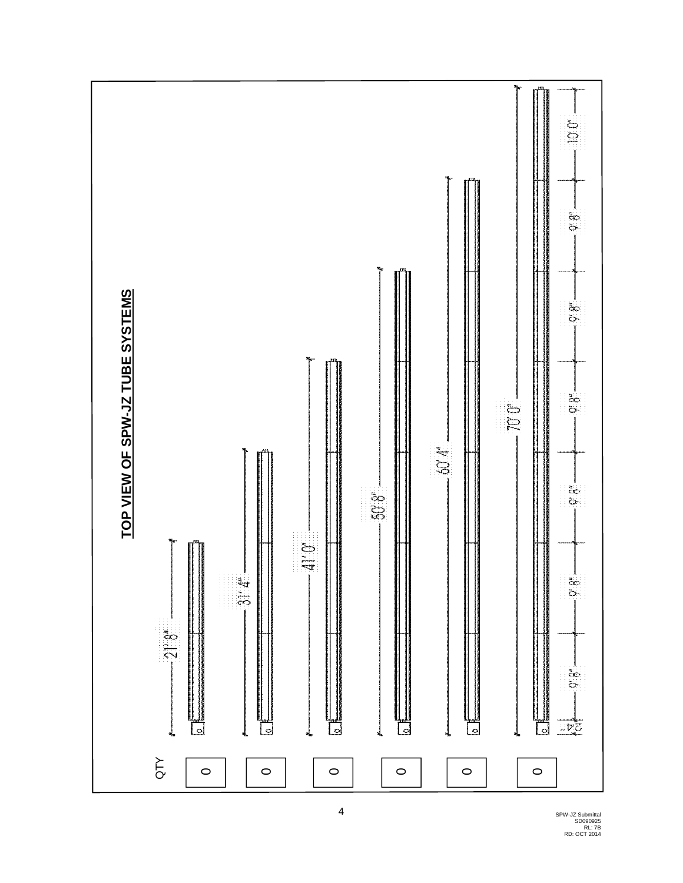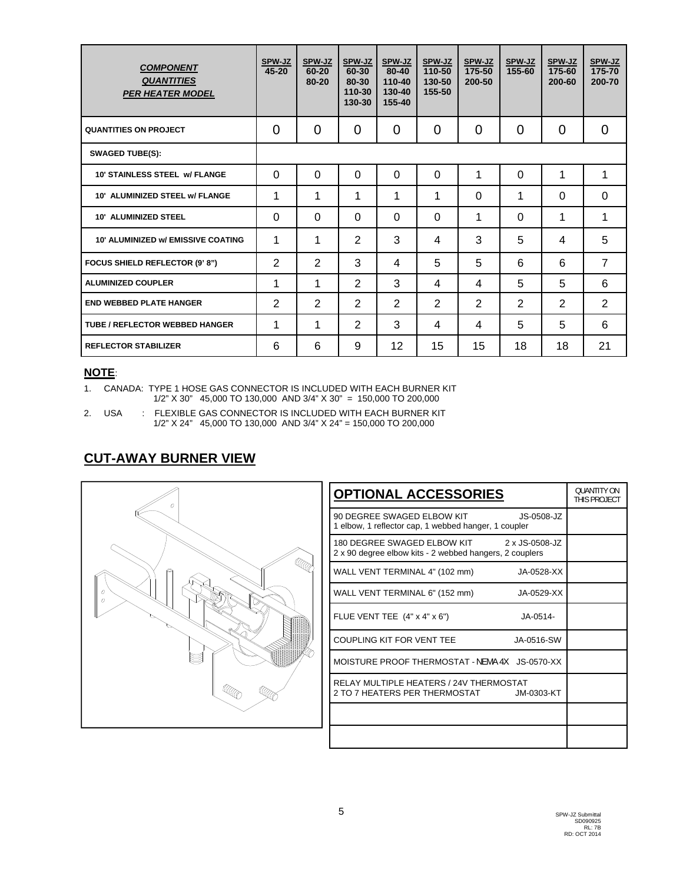| <b>COMPONENT</b><br><b>QUANTITIES</b><br><b>PER HEATER MODEL</b> | SPW-JZ<br>45-20 | SPW-JZ<br>60-20<br>80-20 | SPW-JZ<br>60-30<br>80-30<br>110-30<br>130-30 | SPW-JZ<br>80-40<br>110-40<br>130-40<br>155-40 | SPW-JZ<br>110-50<br>130-50<br>155-50 | SPW-JZ<br>175-50<br>200-50 | SPW-JZ<br>155-60 | SPW-JZ<br>175-60<br>200-60 | SPW-JZ<br>175-70<br>200-70 |
|------------------------------------------------------------------|-----------------|--------------------------|----------------------------------------------|-----------------------------------------------|--------------------------------------|----------------------------|------------------|----------------------------|----------------------------|
| <b>QUANTITIES ON PROJECT</b>                                     | $\Omega$        | 0                        | 0                                            | $\overline{0}$                                | $\Omega$                             | 0                          | 0                | 0                          | $\Omega$                   |
| <b>SWAGED TUBE(S):</b>                                           |                 |                          |                                              |                                               |                                      |                            |                  |                            |                            |
| <b>10' STAINLESS STEEL W/ FLANGE</b>                             | $\Omega$        | $\Omega$                 | $\Omega$                                     | $\Omega$                                      | $\Omega$                             | 1                          | $\Omega$         | 1                          | 1                          |
| 10' ALUMINIZED STEEL w/ FLANGE                                   | 1               | 1                        | 1                                            | 1                                             | 1                                    | $\Omega$                   | 1                | $\Omega$                   | $\Omega$                   |
| <b>10' ALUMINIZED STEEL</b>                                      | $\Omega$        | $\Omega$                 | 0                                            | $\Omega$                                      | $\Omega$                             | 1                          | 0                | 1                          | 1                          |
| <b>10' ALUMINIZED W/ EMISSIVE COATING</b>                        | 1               | 1                        | $\overline{2}$                               | 3                                             | 4                                    | 3                          | 5                | 4                          | 5                          |
| FOCUS SHIELD REFLECTOR (9' 8")                                   | 2               | 2                        | 3                                            | 4                                             | 5                                    | 5                          | 6                | 6                          | $\overline{7}$             |
| <b>ALUMINIZED COUPLER</b>                                        | 1               | 1                        | $\overline{2}$                               | 3                                             | 4                                    | 4                          | 5                | 5                          | 6                          |
| <b>END WEBBED PLATE HANGER</b>                                   | 2               | $\overline{2}$           | $\overline{2}$                               | $\overline{2}$                                | 2                                    | 2                          | $\overline{2}$   | $\overline{2}$             | 2                          |
| <b>TUBE / REFLECTOR WEBBED HANGER</b>                            | 1               | 1                        | $\overline{2}$                               | 3                                             | 4                                    | 4                          | 5                | 5                          | 6                          |
| <b>REFLECTOR STABILIZER</b>                                      | 6               | 6                        | 9                                            | 12                                            | 15                                   | 15                         | 18               | 18                         | 21                         |

#### **NOTE**:

1. CANADA: TYPE 1 HOSE GAS CONNECTOR IS INCLUDED WITH EACH BURNER KIT 1/2" X 30" 45,000 TO 130,000 AND 3/4" X 30" = 150,000 TO 200,000

2. USA : FLEXIBLE GAS CONNECTOR IS INCLUDED WITH EACH BURNER KIT 1/2" X 24" 45,000 TO 130,000 AND 3/4" X 24" = 150,000 TO 200,000

## **CUT-AWAY BURNER VIEW**



| <b>OPTIONAL ACCESSORIES</b>                                                                           | <b>OUANTITY ON</b><br>THIS PROJECT |
|-------------------------------------------------------------------------------------------------------|------------------------------------|
| 90 DEGREE SWAGED ELBOW KIT<br>$JS-0508-JZ$<br>1 elbow, 1 reflector cap, 1 webbed hanger, 1 coupler    |                                    |
| 180 DEGREE SWAGED ELBOW KIT 2 x JS-0508-JZ<br>2 x 90 degree elbow kits - 2 webbed hangers, 2 couplers |                                    |
| WALL VENT TERMINAL 4" (102 mm)<br>JA-0528-XX                                                          |                                    |
| WALL VENT TERMINAL 6" (152 mm)<br>JA-0529-XX                                                          |                                    |
| FLUE VENT TEE (4" x 4" x 6")<br>$JA - 0514 -$                                                         |                                    |
| COUPLING KIT FOR VENT TEE<br>JA-0516-SW                                                               |                                    |
| MOISTURE PROOF THERMOSTAT - NEMA 4X JS-0570-XX                                                        |                                    |
| RELAY MULTIPLE HEATERS / 24V THERMOSTAT<br>2 TO 7 HEATERS PER THERMOSTAT JM-0303-KT                   |                                    |
|                                                                                                       |                                    |
|                                                                                                       |                                    |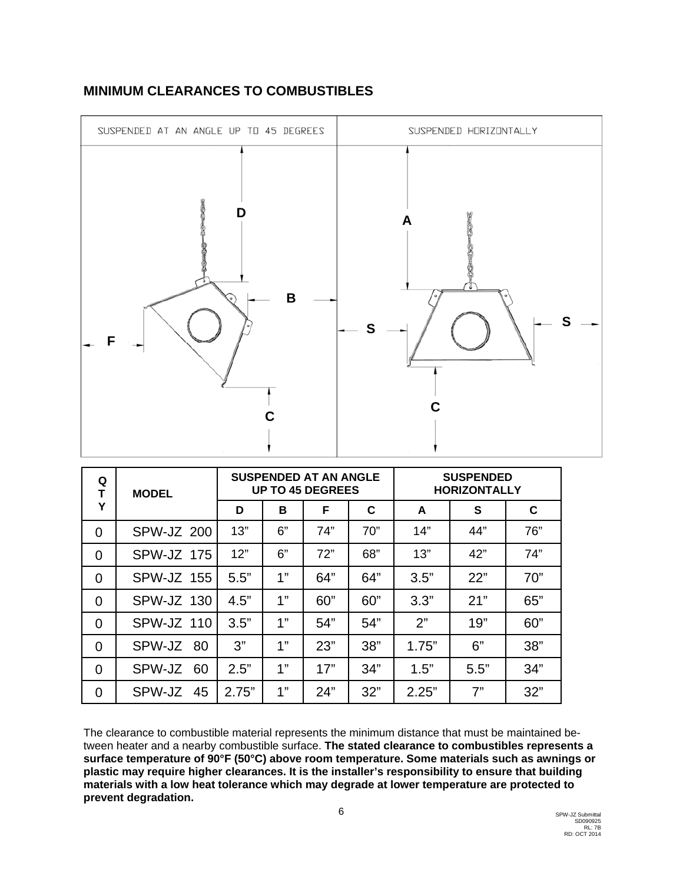

## **MINIMUM CLEARANCES TO COMBUSTIBLES**

| Q<br>T         | <b>MODEL</b>      |       |    | <b>SUSPENDED AT AN ANGLE</b><br><b>UP TO 45 DEGREES</b> |     | <b>SUSPENDED</b><br><b>HORIZONTALLY</b> |      |     |
|----------------|-------------------|-------|----|---------------------------------------------------------|-----|-----------------------------------------|------|-----|
| Y              |                   | D     | B  | F                                                       | C   | A                                       | S    | C   |
| $\overline{0}$ | SPW-JZ 200        | 13"   | 6" | 74"                                                     | 70" | 14"                                     | 44"  | 76" |
| $\overline{0}$ | SPW-JZ 175        | 12"   | 6" | 72"                                                     | 68" | 13"                                     | 42"  | 74" |
| $\overline{0}$ | <b>SPW-JZ 155</b> | 5.5"  | 1" | 64"                                                     | 64" | 3.5"                                    | 22"  | 70" |
| $\overline{0}$ | SPW-JZ 130        | 4.5"  | 1" | 60"                                                     | 60" | 3.3"                                    | 21"  | 65" |
| $\overline{0}$ | SPW-JZ 110        | 3.5"  | 1" | 54"                                                     | 54" | 2"                                      | 19"  | 60" |
| $\overline{0}$ | SPW-JZ<br>80      | 3"    | 1" | 23"                                                     | 38" | 1.75"                                   | 6"   | 38" |
| $\overline{0}$ | SPW-JZ<br>60      | 2.5"  | 1" | 17"                                                     | 34" | 1.5"                                    | 5.5" | 34" |
| $\overline{0}$ | SPW-JZ 45         | 2.75" | 4" | 24"                                                     | 32" | 2.25"                                   | 7"   | 32" |

The clearance to combustible material represents the minimum distance that must be maintained between heater and a nearby combustible surface. **The stated clearance to combustibles represents a surface temperature of 90°F (50°C) above room temperature. Some materials such as awnings or plastic may require higher clearances. It is the installer's responsibility to ensure that building materials with a low heat tolerance which may degrade at lower temperature are protected to prevent degradation.**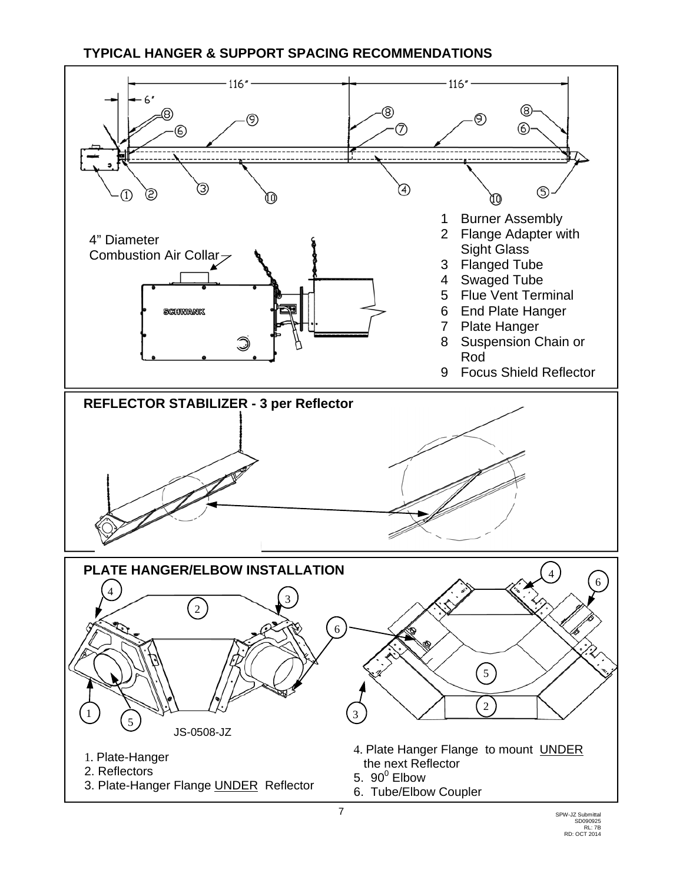## **TYPICAL HANGER & SUPPORT SPACING RECOMMENDATIONS**